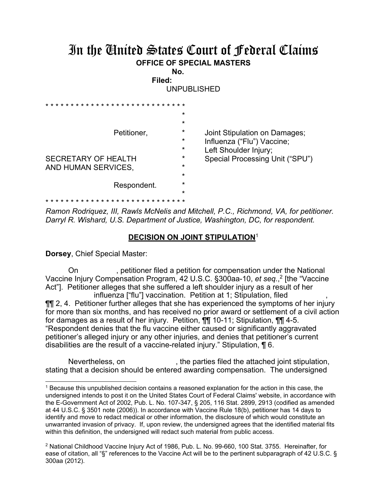## In the United States Court of Federal Claims **OFFICE OF SPECIAL MASTERS**

**No. Filed:** 

UNPUBLISHED

|                            | $\star$ |                                 |
|----------------------------|---------|---------------------------------|
| Petitioner,                | $\star$ |                                 |
|                            | $\star$ | Joint Stipulation on Damages;   |
|                            | $\star$ | Influenza ("Flu") Vaccine;      |
|                            | $\star$ | Left Shoulder Injury;           |
| <b>SECRETARY OF HEALTH</b> | $\star$ | Special Processing Unit ("SPU") |
| AND HUMAN SERVICES,        | $\star$ |                                 |
|                            | $\star$ |                                 |
| Respondent.                | $\star$ |                                 |
|                            | $\star$ |                                 |
|                            |         |                                 |

*Ramon Rodriquez, III, Rawls McNelis and Mitchell, P.C., Richmond, VA, for petitioner. Darryl R. Wishard, U.S. Department of Justice, Washington, DC, for respondent.* 

## **DECISION ON JOINT STIPULATION**<sup>1</sup>

**Dorsey**, Chief Special Master:

 $\overline{a}$ 

 On , petitioner filed a petition for compensation under the National Vaccine Injury Compensation Program, 42 U.S.C. §300aa-10, *et seq.*, 2 [the "Vaccine Act"]. Petitioner alleges that she suffered a left shoulder injury as a result of her influenza ["flu"] vaccination. Petition at 1; Stipulation, filed ¶¶ 2, 4. Petitioner further alleges that she has experienced the symptoms of her injury for more than six months, and has received no prior award or settlement of a civil action for damages as a result of her injury. Petition, ¶¶ 10-11; Stipulation, ¶¶ 4-5. "Respondent denies that the flu vaccine either caused or significantly aggravated petitioner's alleged injury or any other injuries, and denies that petitioner's current disabilities are the result of a vaccine-related injury." Stipulation, ¶ 6.

Nevertheless, on  $\qquad \qquad$ , the parties filed the attached joint stipulation, stating that a decision should be entered awarding compensation. The undersigned

<sup>1</sup> Because this unpublished decision contains a reasoned explanation for the action in this case, the undersigned intends to post it on the United States Court of Federal Claims' website, in accordance with the E-Government Act of 2002, Pub. L. No. 107-347, § 205, 116 Stat. 2899, 2913 (codified as amended at 44 U.S.C. § 3501 note (2006)). In accordance with Vaccine Rule 18(b), petitioner has 14 days to identify and move to redact medical or other information, the disclosure of which would constitute an unwarranted invasion of privacy. If, upon review, the undersigned agrees that the identified material fits within this definition, the undersigned will redact such material from public access.

<sup>2</sup> National Childhood Vaccine Injury Act of 1986, Pub. L. No. 99-660, 100 Stat. 3755. Hereinafter, for ease of citation, all "§" references to the Vaccine Act will be to the pertinent subparagraph of 42 U.S.C. § 300aa (2012).